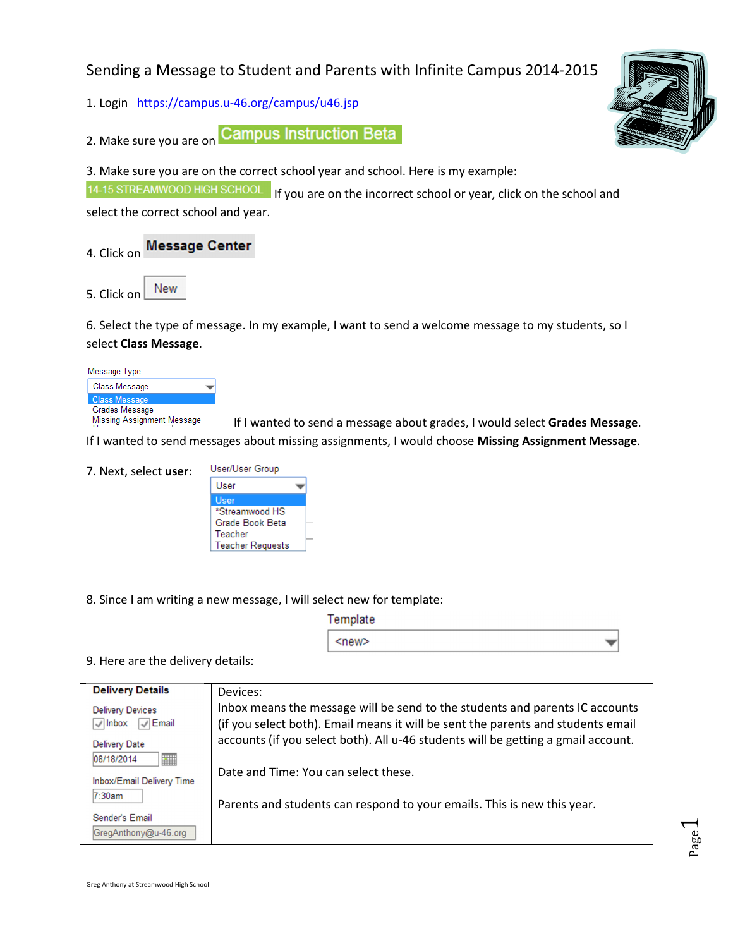# Sending a Message to Student and Parents with Infinite Campus 2014-2015

1. Login https://campus.u-46.org/campus/u46.jsp

2. Make sure you are on **Campus Instruction Beta** 

3. Make sure you are on the correct school year and school. Here is my example:

14-15 STREAMWOOD HIGH SCHOOL If you are on the incorrect school or year, click on the school and

select the correct school and year.

4. Click on Message Center

New 5. Click on

6. Select the type of message. In my example, I want to send a welcome message to my students, so I select Class Message.

Message Type Class Message **Class Message** Grades Message Missing Assignment Message

If I wanted to send a message about grades, I would select Grades Message.

If I wanted to send messages about missing assignments, I would choose Missing Assignment Message.

| 7. Next, select user: | User/User Group |
|-----------------------|-----------------|
|-----------------------|-----------------|



8. Since I am writing a new message, I will select new for template:

| Template |  |
|----------|--|
| ≺new>    |  |

# 9. Here are the delivery details:

| <b>Delivery Details</b>          | Devices:                                                                          |
|----------------------------------|-----------------------------------------------------------------------------------|
| <b>Delivery Devices</b>          | Inbox means the message will be send to the students and parents IC accounts      |
| $\vee$ Email<br>$\sqrt{ }$ Inbox | (if you select both). Email means it will be sent the parents and students email  |
| Delivery Date                    | accounts (if you select both). All u-46 students will be getting a gmail account. |
| E<br>08/18/2014                  |                                                                                   |
| Inbox/Email Delivery Time        | Date and Time: You can select these.                                              |
| 7:30am                           | Parents and students can respond to your emails. This is new this year.           |
| Sender's Email                   |                                                                                   |
| GregAnthony@u-46.org             |                                                                                   |



Page  $\overline{\phantom{0}}$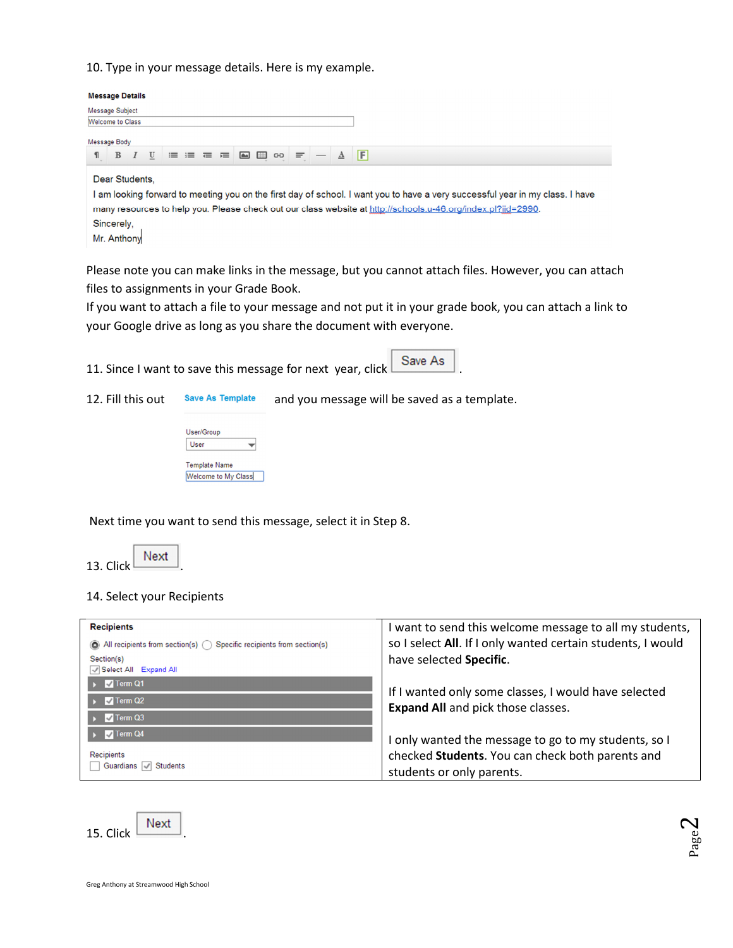## 10. Type in your message details. Here is my example.

|   | <b>Message Details</b>                      |   |   |  |         |  |         |  |                 |                                                                                                                                                                                                                                               |
|---|---------------------------------------------|---|---|--|---------|--|---------|--|-----------------|-----------------------------------------------------------------------------------------------------------------------------------------------------------------------------------------------------------------------------------------------|
|   | <b>Message Subject</b>                      |   |   |  |         |  |         |  |                 |                                                                                                                                                                                                                                               |
|   | <b>Welcome to Class</b>                     |   |   |  |         |  |         |  |                 |                                                                                                                                                                                                                                               |
|   | Message Body                                |   |   |  |         |  |         |  |                 |                                                                                                                                                                                                                                               |
| 1 | B                                           | I | U |  | ■ 星 星 星 |  | ■ 国 ∞ 三 |  | $\underline{A}$ | F                                                                                                                                                                                                                                             |
|   | Dear Students,<br>Sincerely,<br>Mr. Anthony |   |   |  |         |  |         |  |                 | I am looking forward to meeting you on the first day of school. I want you to have a very successful year in my class. I have<br>many resources to help you. Please check out our class website at http://schools.u-46.org/index.pl?iid=2990. |

Please note you can make links in the message, but you cannot attach files. However, you can attach files to assignments in your Grade Book.

If you want to attach a file to your message and not put it in your grade book, you can attach a link to your Google drive as long as you share the document with everyone.

11. Since I want to save this message for next year, click  $\Box$  Save As

12. Fill this out save As Template and you message will be saved as a template.

| User/Group           |  |
|----------------------|--|
| User                 |  |
| <b>Template Name</b> |  |
| Welcome to My Class  |  |

Next time you want to send this message, select it in Step 8.

13. Click  $\overline{\phantom{a}}$  Next

## 14. Select your Recipients

| <b>Recipients</b><br>$\bigcirc$ All recipients from section(s) $\bigcirc$ Specific recipients from section(s)<br>Section(s)<br>Select All Expand All | I want to send this welcome message to all my students,<br>so I select All. If I only wanted certain students, I would<br>have selected Specific. |
|------------------------------------------------------------------------------------------------------------------------------------------------------|---------------------------------------------------------------------------------------------------------------------------------------------------|
| $\sqrt{ }$ Term Q1<br>$\triangledown$ Term Q2<br>$\sqrt{}$ Term Q3                                                                                   | If I wanted only some classes, I would have selected<br><b>Expand All</b> and pick those classes.                                                 |
| $\sqrt{ }$ Term Q4<br>Recipients<br>Guardians <b>Students</b>                                                                                        | I only wanted the message to go to my students, so I<br>checked Students. You can check both parents and<br>students or only parents.             |